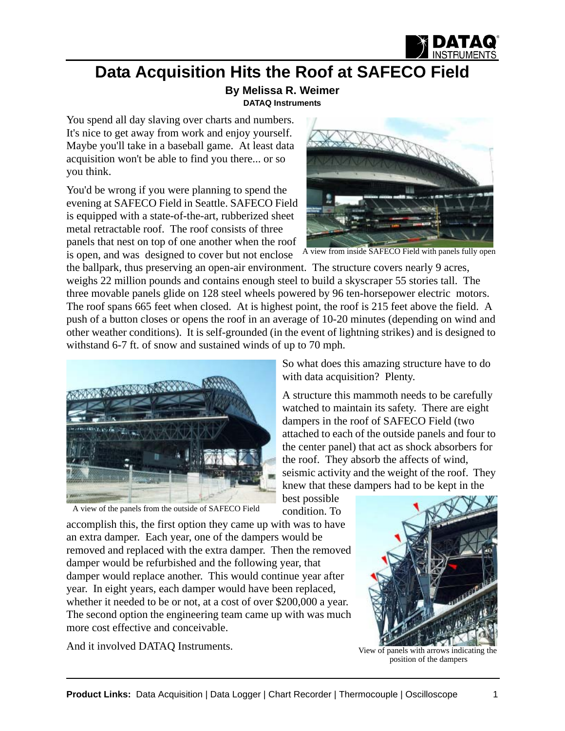

## **Data Acquisition Hits the Roof at SAFECO Field**

**By Melissa R. Weimer [DATAQ Instruments](http://www.dataq.com)**

You spend all day slaving over charts and numbers. It's nice to get away from work and enjoy yourself. Maybe you'll take in a baseball game. At least data acquisition won't be able to find you there... or so you think.

You'd be wrong if you were planning to spend the evening at SAFECO Field in Seattle. SAFECO Field is equipped with a state-of-the-art, rubberized sheet metal retractable roof. The roof consists of three panels that nest on top of one another when the roof is open, and was designed to cover but not enclose



A view from inside SAFECO Field with panels fully open

the ballpark, thus preserving an open-air environment. The structure covers nearly 9 acres, weighs 22 million pounds and contains enough steel to build a skyscraper 55 stories tall. The three movable panels glide on 128 steel wheels powered by 96 ten-horsepower electric motors. The roof spans 665 feet when closed. At is highest point, the roof is 215 feet above the field. A push of a button closes or opens the roof in an average of 10-20 minutes (depending on wind and other weather conditions). It is self-grounded (in the event of lightning strikes) and is designed to withstand 6-7 ft. of snow and sustained winds of up to 70 mph.



A view of the panels from the outside of SAFECO Field

So what does this amazing structure have to do with data acquisition? Plenty.

A structure this mammoth needs to be carefully watched to maintain its safety. There are eight dampers in the roof of SAFECO Field (two attached to each of the outside panels and four to the center panel) that act as shock absorbers for the roof. They absorb the affects of wind, seismic activity and the weight of the roof. They knew that these dampers had to be kept in the

best possible condition. To

accomplish this, the first option they came up with was to have an extra damper. Each year, one of the dampers would be removed and replaced with the extra damper. Then the removed damper would be refurbished and the following year, that damper would replace another. This would continue year after year. In eight years, each damper would have been replaced, whether it needed to be or not, at a cost of over \$200,000 a year. The second option the engineering team came up with was much more cost effective and conceivable.

And it involved DATAQ Instruments.



View of panels with arrows indicating the position of the dampers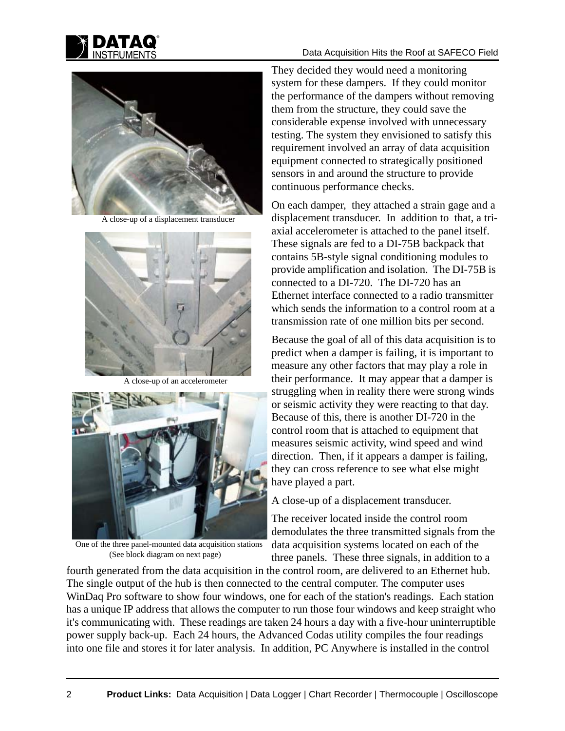

## Data Acquisition Hits the Roof at SAFECO Field



A close-up of a displacement transducer



A close-up of an accelerometer



One of the three panel-mounted data acquisition stations (See block diagram on next page)

They decided they would need a monitoring system for these dampers. If they could monitor the performance of the dampers without removing them from the structure, they could save the considerable expense involved with unnecessary testing. The system they envisioned to satisfy this requirement involved an array of data acquisition equipment connected to strategically positioned sensors in and around the structure to provide continuous performance checks.

On each damper, they attached a strain gage and a displacement transducer. In addition to that, a triaxial accelerometer is attached to the panel itself. These signals are fed to a DI-75B backpack that contains 5B-style signal conditioning modules to provide amplification and isolation. The DI-75B is connected to a DI-720. The DI-720 has an Ethernet interface connected to a radio transmitter which sends the information to a control room at a transmission rate of one million bits per second.

Because the goal of all of this data acquisition is to predict when a damper is failing, it is important to measure any other factors that may play a role in their performance. It may appear that a damper is struggling when in reality there were strong winds or seismic activity they were reacting to that day. Because of this, there is another DI-720 in the control room that is attached to equipment that measures seismic activity, wind speed and wind direction. Then, if it appears a damper is failing, they can cross reference to see what else might have played a part.

A close-up of a displacement transducer.

The receiver located inside the control room demodulates the three transmitted signals from the data acquisition systems located on each of the three panels. These three signals, in addition to a

fourth generated from the data acquisition in the control room, are delivered to an Ethernet hub. The single output of the hub is then connected to the central computer. The computer uses WinDaq Pro software to show four windows, one for each of the station's readings. Each station has a unique IP address that allows the computer to run those four windows and keep straight who it's communicating with. These readings are taken 24 hours a day with a five-hour uninterruptible power supply back-up. Each 24 hours, the Advanced Codas utility compiles the four readings into one file and stores it for later analysis. In addition, PC Anywhere is installed in the control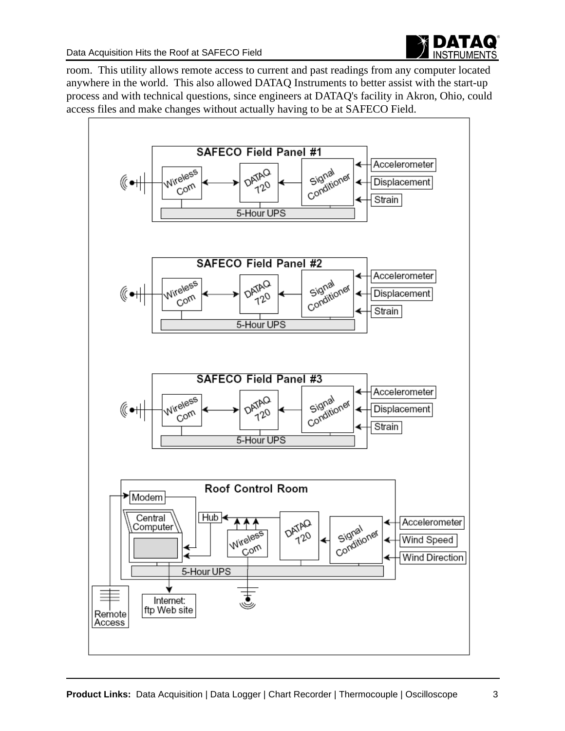

room. This utility allows remote access to current and past readings from any computer located anywhere in the world. This also allowed DATAQ Instruments to better assist with the start-up process and with technical questions, since engineers at DATAQ's facility in Akron, Ohio, could access files and make changes without actually having to be at SAFECO Field.